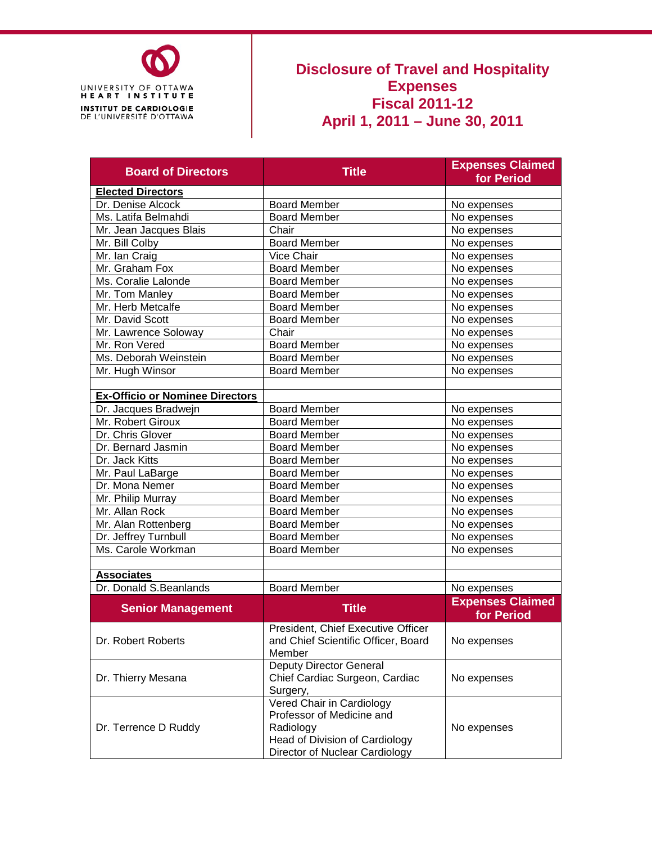

## **Disclosure of Travel and Hospitality Expenses Fiscal 2011-12 April 1, 2011 – June 30, 2011**

| <b>Board of Directors</b>              | <b>Title</b>                                                                                                                            | <b>Expenses Claimed</b><br>for Period |
|----------------------------------------|-----------------------------------------------------------------------------------------------------------------------------------------|---------------------------------------|
| <b>Elected Directors</b>               |                                                                                                                                         |                                       |
| Dr. Denise Alcock                      | <b>Board Member</b>                                                                                                                     | No expenses                           |
| Ms. Latifa Belmahdi                    | <b>Board Member</b>                                                                                                                     | No expenses                           |
| Mr. Jean Jacques Blais                 | Chair                                                                                                                                   | No expenses                           |
| Mr. Bill Colby                         | <b>Board Member</b>                                                                                                                     | No expenses                           |
| Mr. Ian Craig                          | Vice Chair                                                                                                                              | No expenses                           |
| Mr. Graham Fox                         | <b>Board Member</b>                                                                                                                     | No expenses                           |
| Ms. Coralie Lalonde                    | <b>Board Member</b>                                                                                                                     | No expenses                           |
| Mr. Tom Manley                         | <b>Board Member</b>                                                                                                                     | No expenses                           |
| Mr. Herb Metcalfe                      | <b>Board Member</b>                                                                                                                     | No expenses                           |
| Mr. David Scott                        | <b>Board Member</b>                                                                                                                     | No expenses                           |
| Mr. Lawrence Soloway                   | Chair                                                                                                                                   | No expenses                           |
| Mr. Ron Vered                          | <b>Board Member</b>                                                                                                                     | No expenses                           |
| Ms. Deborah Weinstein                  | <b>Board Member</b>                                                                                                                     | No expenses                           |
| Mr. Hugh Winsor                        | <b>Board Member</b>                                                                                                                     | No expenses                           |
|                                        |                                                                                                                                         |                                       |
| <b>Ex-Officio or Nominee Directors</b> |                                                                                                                                         |                                       |
| Dr. Jacques Bradwejn                   | <b>Board Member</b>                                                                                                                     | No expenses                           |
| Mr. Robert Giroux                      | <b>Board Member</b>                                                                                                                     | No expenses                           |
| Dr. Chris Glover                       | <b>Board Member</b>                                                                                                                     | No expenses                           |
| Dr. Bernard Jasmin                     | <b>Board Member</b>                                                                                                                     | No expenses                           |
| Dr. Jack Kitts                         | <b>Board Member</b>                                                                                                                     | No expenses                           |
| Mr. Paul LaBarge                       | <b>Board Member</b>                                                                                                                     | No expenses                           |
| Dr. Mona Nemer                         | <b>Board Member</b>                                                                                                                     | No expenses                           |
| Mr. Philip Murray                      | <b>Board Member</b>                                                                                                                     | No expenses                           |
| Mr. Allan Rock                         | <b>Board Member</b>                                                                                                                     | No expenses                           |
| Mr. Alan Rottenberg                    | <b>Board Member</b>                                                                                                                     | No expenses                           |
| Dr. Jeffrey Turnbull                   | <b>Board Member</b>                                                                                                                     | No expenses                           |
| Ms. Carole Workman                     | <b>Board Member</b>                                                                                                                     | No expenses                           |
|                                        |                                                                                                                                         |                                       |
| <b>Associates</b>                      |                                                                                                                                         |                                       |
| Dr. Donald S.Beanlands                 | <b>Board Member</b>                                                                                                                     | No expenses                           |
| <b>Senior Management</b>               | <b>Title</b>                                                                                                                            | <b>Expenses Claimed</b><br>for Period |
| Dr. Robert Roberts                     | President, Chief Executive Officer<br>and Chief Scientific Officer, Board<br>Member                                                     | No expenses                           |
| Dr. Thierry Mesana                     | <b>Deputy Director General</b><br>Chief Cardiac Surgeon, Cardiac<br>Surgery,                                                            | No expenses                           |
| Dr. Terrence D Ruddy                   | Vered Chair in Cardiology<br>Professor of Medicine and<br>Radiology<br>Head of Division of Cardiology<br>Director of Nuclear Cardiology | No expenses                           |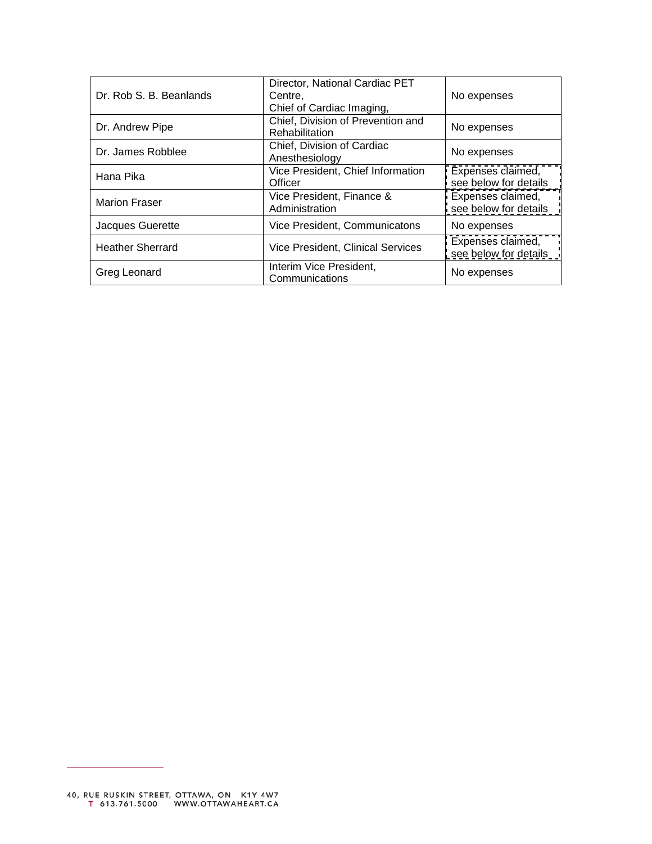| Dr. Rob S. B. Beanlands | Director, National Cardiac PET<br>Centre,<br>Chief of Cardiac Imaging, | No expenses                                |
|-------------------------|------------------------------------------------------------------------|--------------------------------------------|
| Dr. Andrew Pipe         | Chief, Division of Prevention and<br>Rehabilitation                    | No expenses                                |
| Dr. James Robblee       | Chief, Division of Cardiac<br>Anesthesiology                           | No expenses                                |
| Hana Pika               | Vice President, Chief Information<br>Officer                           | Expenses claimed,<br>see below for details |
| <b>Marion Fraser</b>    | Vice President, Finance &<br>Administration                            | Expenses claimed,<br>see below for details |
| Jacques Guerette        | Vice President, Communicatons                                          | No expenses                                |
| <b>Heather Sherrard</b> | Vice President, Clinical Services                                      | Expenses claimed,<br>see below for details |
| Greg Leonard            | Interim Vice President,<br>Communications                              | No expenses                                |

 $\overline{\phantom{0}}$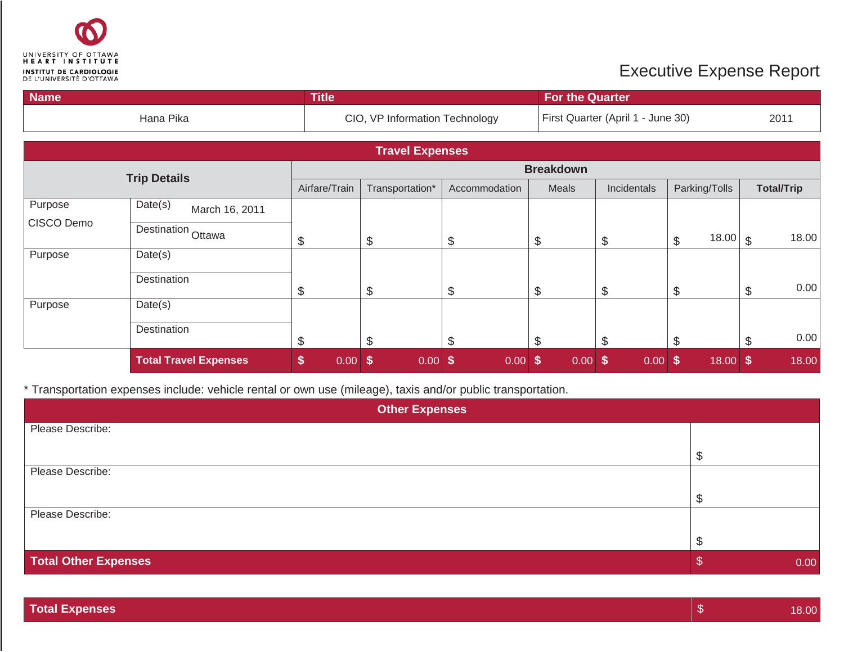<span id="page-2-0"></span>

## Executive Expense Report

| <b>Name</b> |                              | <b>Title</b>    |                                |               | <b>For the Quarter</b> |                                   |               |                        |
|-------------|------------------------------|-----------------|--------------------------------|---------------|------------------------|-----------------------------------|---------------|------------------------|
|             | Hana Pika                    |                 | CIO, VP Information Technology |               |                        | First Quarter (April 1 - June 30) |               | 2011                   |
|             |                              |                 | <b>Travel Expenses</b>         |               |                        |                                   |               |                        |
|             | <b>Trip Details</b>          |                 |                                |               | <b>Breakdown</b>       |                                   |               |                        |
|             |                              | Airfare/Train   | Transportation*                | Accommodation | Meals                  | Incidentals                       | Parking/Tolls | <b>Total/Trip</b>      |
| Purpose     | Date(s)<br>March 16, 2011    |                 |                                |               |                        |                                   |               |                        |
| CISCO Demo  | Destination Ottawa           | \$              | $\boldsymbol{\theta}$          | \$            | \$                     | \$                                | 18.00<br>\$   | 18.00<br>$\mathcal{S}$ |
| Purpose     | Date(s)                      |                 |                                |               |                        |                                   |               |                        |
|             | Destination                  | \$              | $\boldsymbol{\theta}$          | \$            | $\mathcal{L}$          | \$                                | \$            | 0.00<br>\$             |
| Purpose     | Date(s)                      |                 |                                |               |                        |                                   |               |                        |
|             | Destination                  | \$              | $\boldsymbol{\mathsf{S}}$      | \$            | $\mathcal{L}$          | S.                                | \$            | 0.00<br>\$             |
|             | <b>Total Travel Expenses</b> | \$<br>$0.00$ \$ | $0.00$ \$                      | $0.00$ \$     | $0.00$ \$              | $0.00$ \$                         | $18.00$ \$    | 18.00                  |

\* Transportation expenses include: vehicle rental or own use (mileage), taxis and/or public transportation.

| <b>Other Expenses</b>       |      |  |  |  |  |
|-----------------------------|------|--|--|--|--|
| Please Describe:            |      |  |  |  |  |
|                             |      |  |  |  |  |
| Please Describe:            |      |  |  |  |  |
|                             |      |  |  |  |  |
| Please Describe:            |      |  |  |  |  |
|                             |      |  |  |  |  |
| <b>Total Other Expenses</b> | 0.00 |  |  |  |  |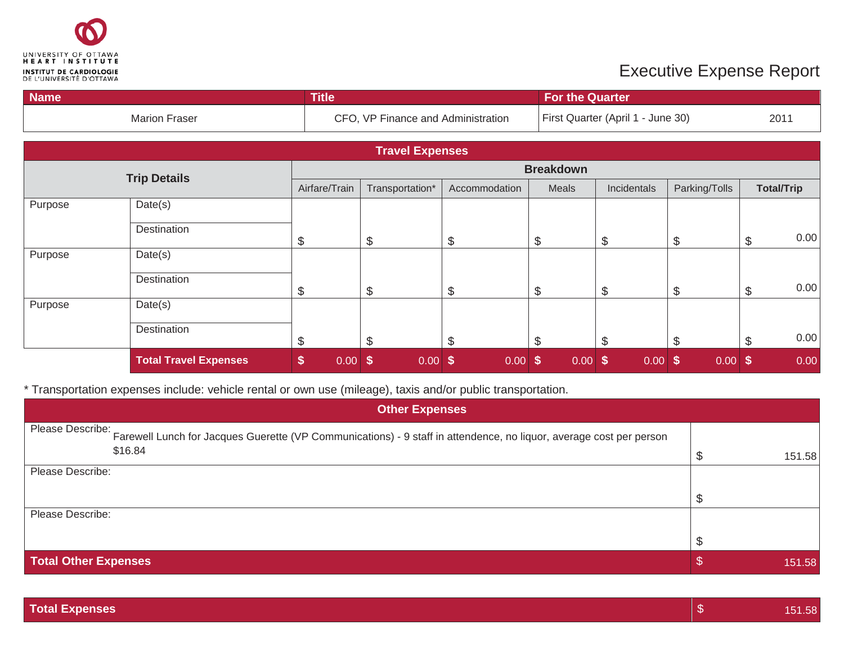<span id="page-3-0"></span>

## Executive Expense Report

| <b>Name</b> |                              | <b>Title</b>          |                                    |                            | <b>For the Quarter</b> |                                   |                       |                                   |  |
|-------------|------------------------------|-----------------------|------------------------------------|----------------------------|------------------------|-----------------------------------|-----------------------|-----------------------------------|--|
|             | <b>Marion Fraser</b>         |                       | CFO, VP Finance and Administration |                            |                        | First Quarter (April 1 - June 30) |                       |                                   |  |
|             |                              |                       | <b>Travel Expenses</b>             |                            |                        |                                   |                       |                                   |  |
|             | <b>Trip Details</b>          |                       |                                    |                            | <b>Breakdown</b>       |                                   |                       |                                   |  |
|             |                              | Airfare/Train         | Transportation*                    | Accommodation              | Meals                  | Incidentals                       | Parking/Tolls         | <b>Total/Trip</b>                 |  |
| Purpose     | Date(s)                      |                       |                                    |                            |                        |                                   |                       |                                   |  |
|             | Destination                  | \$                    | \$                                 | \$                         | \$                     | S                                 | \$                    | 0.00<br>\$                        |  |
| Purpose     | Date(s)                      |                       |                                    |                            |                        |                                   |                       |                                   |  |
|             | Destination                  | $\boldsymbol{\theta}$ | \$                                 | \$                         | $\frac{1}{2}$          | \$                                | \$                    | 0.00<br>\$                        |  |
| Purpose     | Date(s)                      |                       |                                    |                            |                        |                                   |                       |                                   |  |
|             | Destination                  | \$                    | $\mathcal{L}$                      | \$                         | \$                     | \$.                               | \$                    | 0.00<br>\$                        |  |
|             | <b>Total Travel Expenses</b> | \$<br>0.00            | $\boldsymbol{\mathsf{s}}$<br>0.00  | $\sqrt[6]{3}$<br>$0.00$ \$ | $0.00$ \$              | 0.00                              | $\sqrt[6]{3}$<br>0.00 | 0.00<br>$\boldsymbol{\mathsf{s}}$ |  |

\* Transportation expenses include: vehicle rental or own use (mileage), taxis and/or public transportation.

| <b>Other Expenses</b>                                                                                                                           |  |        |  |  |  |
|-------------------------------------------------------------------------------------------------------------------------------------------------|--|--------|--|--|--|
| Please Describe: Farewell Lunch for Jacques Guerette (VP Communications) - 9 staff in attendence, no liquor, average cost per person<br>\$16.84 |  | 151.58 |  |  |  |
| Please Describe:                                                                                                                                |  |        |  |  |  |
| Please Describe:                                                                                                                                |  |        |  |  |  |
| <b>Total Other Expenses</b>                                                                                                                     |  | 151.58 |  |  |  |